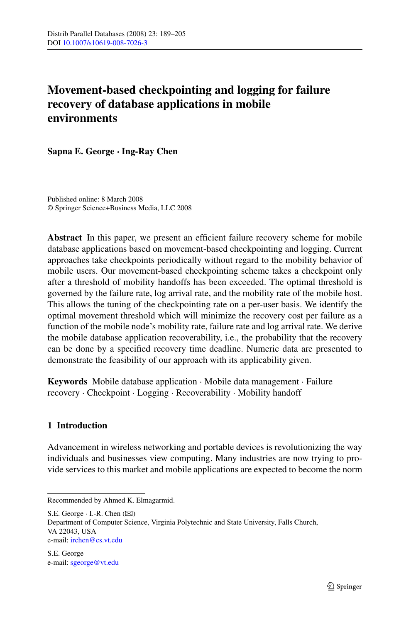# **Movement-based checkpointing and logging for failure recovery of database applications in mobile environments**

**Sapna E. George ·Ing-Ray Chen**

Published online: 8 March 2008 © Springer Science+Business Media, LLC 2008

**Abstract** In this paper, we present an efficient failure recovery scheme for mobile database applications based on movement-based checkpointing and logging. Current approaches take checkpoints periodically without regard to the mobility behavior of mobile users. Our movement-based checkpointing scheme takes a checkpoint only after a threshold of mobility handoffs has been exceeded. The optimal threshold is governed by the failure rate, log arrival rate, and the mobility rate of the mobile host. This allows the tuning of the checkpointing rate on a per-user basis. We identify the optimal movement threshold which will minimize the recovery cost per failure as a function of the mobile node's mobility rate, failure rate and log arrival rate. We derive the mobile database application recoverability, i.e., the probability that the recovery can be done by a specified recovery time deadline. Numeric data are presented to demonstrate the feasibility of our approach with its applicability given.

**Keywords** Mobile database application · Mobile data management · Failure recovery · Checkpoint · Logging · Recoverability · Mobility handoff

## **1 Introduction**

Advancement in wireless networking and portable devices is revolutionizing the way individuals and businesses view computing. Many industries are now trying to provide services to this market and mobile applications are expected to become the norm

S.E. George ⋅ I.-R. Chen (⊠)

Department of Computer Science, Virginia Polytechnic and State University, Falls Church, VA 22043, USA e-mail: [irchen@cs.vt.edu](mailto:irchen@cs.vt.edu)

S.E. George e-mail: [sgeorge@vt.edu](mailto:sgeorge@vt.edu)

Recommended by Ahmed K. Elmagarmid.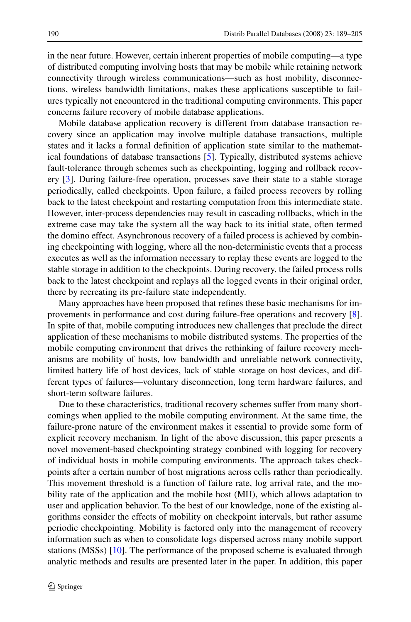in the near future. However, certain inherent properties of mobile computing—a type of distributed computing involving hosts that may be mobile while retaining network connectivity through wireless communications—such as host mobility, disconnections, wireless bandwidth limitations, makes these applications susceptible to failures typically not encountered in the traditional computing environments. This paper concerns failure recovery of mobile database applications.

Mobile database application recovery is different from database transaction recovery since an application may involve multiple database transactions, multiple states and it lacks a formal definition of application state similar to the mathematical foundations of database transactions [\[5](#page-16-0)]. Typically, distributed systems achieve fault-tolerance through schemes such as checkpointing, logging and rollback recovery [\[3](#page-16-0)]. During failure-free operation, processes save their state to a stable storage periodically, called checkpoints. Upon failure, a failed process recovers by rolling back to the latest checkpoint and restarting computation from this intermediate state. However, inter-process dependencies may result in cascading rollbacks, which in the extreme case may take the system all the way back to its initial state, often termed the domino effect. Asynchronous recovery of a failed process is achieved by combining checkpointing with logging, where all the non-deterministic events that a process executes as well as the information necessary to replay these events are logged to the stable storage in addition to the checkpoints. During recovery, the failed process rolls back to the latest checkpoint and replays all the logged events in their original order, there by recreating its pre-failure state independently.

Many approaches have been proposed that refines these basic mechanisms for improvements in performance and cost during failure-free operations and recovery [[8\]](#page-16-0). In spite of that, mobile computing introduces new challenges that preclude the direct application of these mechanisms to mobile distributed systems. The properties of the mobile computing environment that drives the rethinking of failure recovery mechanisms are mobility of hosts, low bandwidth and unreliable network connectivity, limited battery life of host devices, lack of stable storage on host devices, and different types of failures—voluntary disconnection, long term hardware failures, and short-term software failures.

Due to these characteristics, traditional recovery schemes suffer from many shortcomings when applied to the mobile computing environment. At the same time, the failure-prone nature of the environment makes it essential to provide some form of explicit recovery mechanism. In light of the above discussion, this paper presents a novel movement-based checkpointing strategy combined with logging for recovery of individual hosts in mobile computing environments. The approach takes checkpoints after a certain number of host migrations across cells rather than periodically. This movement threshold is a function of failure rate, log arrival rate, and the mobility rate of the application and the mobile host (MH), which allows adaptation to user and application behavior. To the best of our knowledge, none of the existing algorithms consider the effects of mobility on checkpoint intervals, but rather assume periodic checkpointing. Mobility is factored only into the management of recovery information such as when to consolidate logs dispersed across many mobile support stations (MSSs) [\[10](#page-16-0)]. The performance of the proposed scheme is evaluated through analytic methods and results are presented later in the paper. In addition, this paper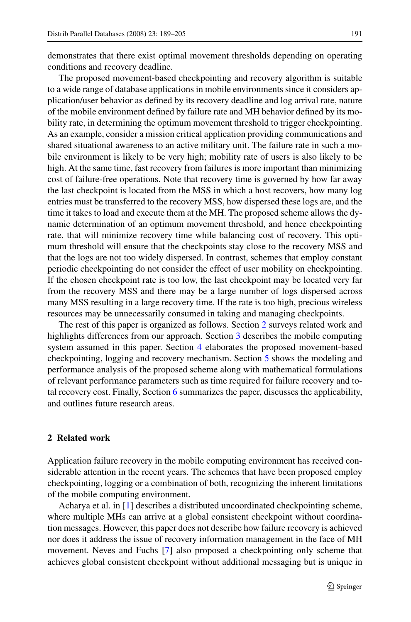demonstrates that there exist optimal movement thresholds depending on operating conditions and recovery deadline.

The proposed movement-based checkpointing and recovery algorithm is suitable to a wide range of database applications in mobile environments since it considers application/user behavior as defined by its recovery deadline and log arrival rate, nature of the mobile environment defined by failure rate and MH behavior defined by its mobility rate, in determining the optimum movement threshold to trigger checkpointing. As an example, consider a mission critical application providing communications and shared situational awareness to an active military unit. The failure rate in such a mobile environment is likely to be very high; mobility rate of users is also likely to be high. At the same time, fast recovery from failures is more important than minimizing cost of failure-free operations. Note that recovery time is governed by how far away the last checkpoint is located from the MSS in which a host recovers, how many log entries must be transferred to the recovery MSS, how dispersed these logs are, and the time it takes to load and execute them at the MH. The proposed scheme allows the dynamic determination of an optimum movement threshold, and hence checkpointing rate, that will minimize recovery time while balancing cost of recovery. This optimum threshold will ensure that the checkpoints stay close to the recovery MSS and that the logs are not too widely dispersed. In contrast, schemes that employ constant periodic checkpointing do not consider the effect of user mobility on checkpointing. If the chosen checkpoint rate is too low, the last checkpoint may be located very far from the recovery MSS and there may be a large number of logs dispersed across many MSS resulting in a large recovery time. If the rate is too high, precious wireless resources may be unnecessarily consumed in taking and managing checkpoints.

The rest of this paper is organized as follows. Section 2 surveys related work and highlights differences from our approach. Section [3](#page-3-0) describes the mobile computing system assumed in this paper. Section [4](#page-4-0) elaborates the proposed movement-based checkpointing, logging and recovery mechanism. Section [5](#page-6-0) shows the modeling and performance analysis of the proposed scheme along with mathematical formulations of relevant performance parameters such as time required for failure recovery and total recovery cost. Finally, Section [6](#page-15-0) summarizes the paper, discusses the applicability, and outlines future research areas.

#### **2 Related work**

Application failure recovery in the mobile computing environment has received considerable attention in the recent years. The schemes that have been proposed employ checkpointing, logging or a combination of both, recognizing the inherent limitations of the mobile computing environment.

Acharya et al. in [\[1](#page-16-0)] describes a distributed uncoordinated checkpointing scheme, where multiple MHs can arrive at a global consistent checkpoint without coordination messages. However, this paper does not describe how failure recovery is achieved nor does it address the issue of recovery information management in the face of MH movement. Neves and Fuchs [\[7](#page-16-0)] also proposed a checkpointing only scheme that achieves global consistent checkpoint without additional messaging but is unique in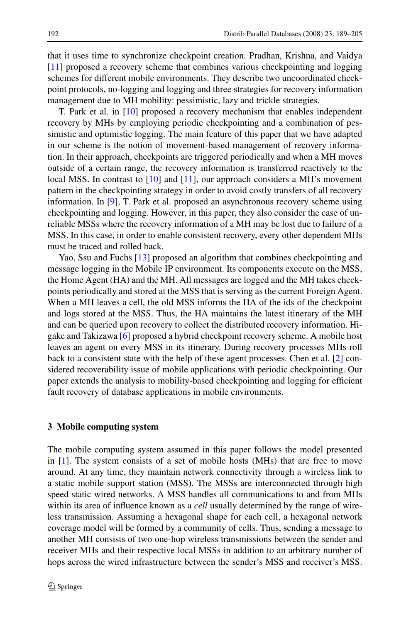<span id="page-3-0"></span>that it uses time to synchronize checkpoint creation. Pradhan, Krishna, and Vaidya [\[11](#page-16-0)] proposed a recovery scheme that combines various checkpointing and logging schemes for different mobile environments. They describe two uncoordinated checkpoint protocols, no-logging and logging and three strategies for recovery information management due to MH mobility: pessimistic, lazy and trickle strategies.

T. Park et al. in [[10\]](#page-16-0) proposed a recovery mechanism that enables independent recovery by MHs by employing periodic checkpointing and a combination of pessimistic and optimistic logging. The main feature of this paper that we have adapted in our scheme is the notion of movement-based management of recovery information. In their approach, checkpoints are triggered periodically and when a MH moves outside of a certain range, the recovery information is transferred reactively to the local MSS. In contrast to [\[10](#page-16-0)] and [[11\]](#page-16-0), our approach considers a MH's movement pattern in the checkpointing strategy in order to avoid costly transfers of all recovery information. In [[9\]](#page-16-0), T. Park et al. proposed an asynchronous recovery scheme using checkpointing and logging. However, in this paper, they also consider the case of unreliable MSSs where the recovery information of a MH may be lost due to failure of a MSS. In this case, in order to enable consistent recovery, every other dependent MHs must be traced and rolled back.

Yao, Ssu and Fuchs [\[13](#page-16-0)] proposed an algorithm that combines checkpointing and message logging in the Mobile IP environment. Its components execute on the MSS, the Home Agent (HA) and the MH. All messages are logged and the MH takes checkpoints periodically and stored at the MSS that is serving as the current Foreign Agent. When a MH leaves a cell, the old MSS informs the HA of the ids of the checkpoint and logs stored at the MSS. Thus, the HA maintains the latest itinerary of the MH and can be queried upon recovery to collect the distributed recovery information. Higake and Takizawa [\[6](#page-16-0)] proposed a hybrid checkpoint recovery scheme. A mobile host leaves an agent on every MSS in its itinerary. During recovery processes MHs roll back to a consistent state with the help of these agent processes. Chen et al. [[2\]](#page-16-0) considered recoverability issue of mobile applications with periodic checkpointing. Our paper extends the analysis to mobility-based checkpointing and logging for efficient fault recovery of database applications in mobile environments.

#### **3 Mobile computing system**

The mobile computing system assumed in this paper follows the model presented in [[1\]](#page-16-0). The system consists of a set of mobile hosts (MHs) that are free to move around. At any time, they maintain network connectivity through a wireless link to a static mobile support station (MSS). The MSSs are interconnected through high speed static wired networks. A MSS handles all communications to and from MHs within its area of influence known as a *cell* usually determined by the range of wireless transmission. Assuming a hexagonal shape for each cell, a hexagonal network coverage model will be formed by a community of cells. Thus, sending a message to another MH consists of two one-hop wireless transmissions between the sender and receiver MHs and their respective local MSSs in addition to an arbitrary number of hops across the wired infrastructure between the sender's MSS and receiver's MSS.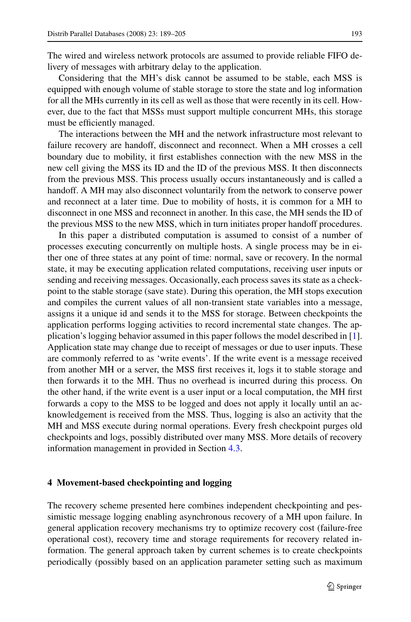<span id="page-4-0"></span>Considering that the MH's disk cannot be assumed to be stable, each MSS is equipped with enough volume of stable storage to store the state and log information for all the MHs currently in its cell as well as those that were recently in its cell. However, due to the fact that MSSs must support multiple concurrent MHs, this storage must be efficiently managed.

The interactions between the MH and the network infrastructure most relevant to failure recovery are handoff, disconnect and reconnect. When a MH crosses a cell boundary due to mobility, it first establishes connection with the new MSS in the new cell giving the MSS its ID and the ID of the previous MSS. It then disconnects from the previous MSS. This process usually occurs instantaneously and is called a handoff. A MH may also disconnect voluntarily from the network to conserve power and reconnect at a later time. Due to mobility of hosts, it is common for a MH to disconnect in one MSS and reconnect in another. In this case, the MH sends the ID of the previous MSS to the new MSS, which in turn initiates proper handoff procedures.

In this paper a distributed computation is assumed to consist of a number of processes executing concurrently on multiple hosts. A single process may be in either one of three states at any point of time: normal, save or recovery. In the normal state, it may be executing application related computations, receiving user inputs or sending and receiving messages. Occasionally, each process saves its state as a checkpoint to the stable storage (save state). During this operation, the MH stops execution and compiles the current values of all non-transient state variables into a message, assigns it a unique id and sends it to the MSS for storage. Between checkpoints the application performs logging activities to record incremental state changes. The application's logging behavior assumed in this paper follows the model described in [[1\]](#page-16-0). Application state may change due to receipt of messages or due to user inputs. These are commonly referred to as 'write events'. If the write event is a message received from another MH or a server, the MSS first receives it, logs it to stable storage and then forwards it to the MH. Thus no overhead is incurred during this process. On the other hand, if the write event is a user input or a local computation, the MH first forwards a copy to the MSS to be logged and does not apply it locally until an acknowledgement is received from the MSS. Thus, logging is also an activity that the MH and MSS execute during normal operations. Every fresh checkpoint purges old checkpoints and logs, possibly distributed over many MSS. More details of recovery information management in provided in Section [4.3.](#page-6-0)

## **4 Movement-based checkpointing and logging**

The recovery scheme presented here combines independent checkpointing and pessimistic message logging enabling asynchronous recovery of a MH upon failure. In general application recovery mechanisms try to optimize recovery cost (failure-free operational cost), recovery time and storage requirements for recovery related information. The general approach taken by current schemes is to create checkpoints periodically (possibly based on an application parameter setting such as maximum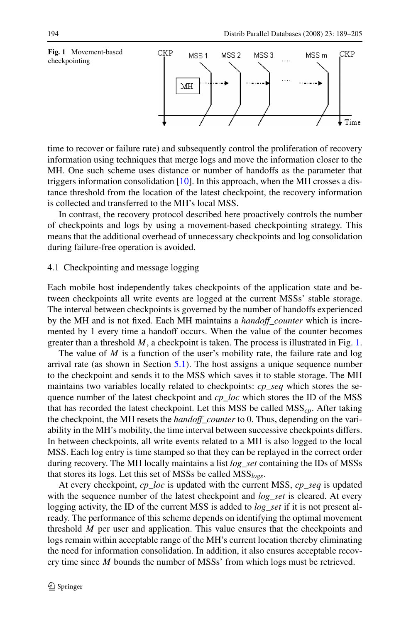

time to recover or failure rate) and subsequently control the proliferation of recovery information using techniques that merge logs and move the information closer to the MH. One such scheme uses distance or number of handoffs as the parameter that triggers information consolidation  $[10]$ . In this approach, when the MH crosses a distance threshold from the location of the latest checkpoint, the recovery information is collected and transferred to the MH's local MSS.

In contrast, the recovery protocol described here proactively controls the number of checkpoints and logs by using a movement-based checkpointing strategy. This means that the additional overhead of unnecessary checkpoints and log consolidation during failure-free operation is avoided.

## 4.1 Checkpointing and message logging

Each mobile host independently takes checkpoints of the application state and between checkpoints all write events are logged at the current MSSs' stable storage. The interval between checkpoints is governed by the number of handoffs experienced by the MH and is not fixed. Each MH maintains a *handoff\_counter* which is incremented by 1 every time a handoff occurs. When the value of the counter becomes greater than a threshold *M*, a checkpoint is taken. The process is illustrated in Fig. 1.

The value of *M* is a function of the user's mobility rate, the failure rate and log arrival rate (as shown in Section [5.1\)](#page-7-0). The host assigns a unique sequence number to the checkpoint and sends it to the MSS which saves it to stable storage. The MH maintains two variables locally related to checkpoints: *cp\_seq* which stores the sequence number of the latest checkpoint and *cp\_loc* which stores the ID of the MSS that has recorded the latest checkpoint. Let this MSS be called MSS*cp*. After taking the checkpoint, the MH resets the *handoff\_counter* to 0. Thus, depending on the variability in the MH's mobility, the time interval between successive checkpoints differs. In between checkpoints, all write events related to a MH is also logged to the local MSS. Each log entry is time stamped so that they can be replayed in the correct order during recovery. The MH locally maintains a list *log\_set* containing the IDs of MSSs that stores its logs. Let this set of MSSs be called MSS*logs*.

At every checkpoint, *cp\_loc* is updated with the current MSS, *cp\_seq* is updated with the sequence number of the latest checkpoint and *log\_set* is cleared. At every logging activity, the ID of the current MSS is added to *log\_set* if it is not present already. The performance of this scheme depends on identifying the optimal movement threshold *M* per user and application. This value ensures that the checkpoints and logs remain within acceptable range of the MH's current location thereby eliminating the need for information consolidation. In addition, it also ensures acceptable recovery time since *M* bounds the number of MSSs' from which logs must be retrieved.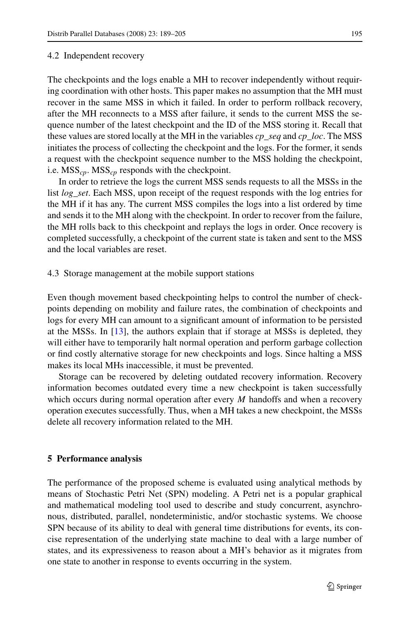## <span id="page-6-0"></span>4.2 Independent recovery

The checkpoints and the logs enable a MH to recover independently without requiring coordination with other hosts. This paper makes no assumption that the MH must recover in the same MSS in which it failed. In order to perform rollback recovery, after the MH reconnects to a MSS after failure, it sends to the current MSS the sequence number of the latest checkpoint and the ID of the MSS storing it. Recall that these values are stored locally at the MH in the variables *cp\_seq* and *cp\_loc*. The MSS initiates the process of collecting the checkpoint and the logs. For the former, it sends a request with the checkpoint sequence number to the MSS holding the checkpoint, i.e. MSS*cp*. MSS*cp* responds with the checkpoint.

In order to retrieve the logs the current MSS sends requests to all the MSSs in the list *log\_set*. Each MSS, upon receipt of the request responds with the log entries for the MH if it has any. The current MSS compiles the logs into a list ordered by time and sends it to the MH along with the checkpoint. In order to recover from the failure, the MH rolls back to this checkpoint and replays the logs in order. Once recovery is completed successfully, a checkpoint of the current state is taken and sent to the MSS and the local variables are reset.

## 4.3 Storage management at the mobile support stations

Even though movement based checkpointing helps to control the number of checkpoints depending on mobility and failure rates, the combination of checkpoints and logs for every MH can amount to a significant amount of information to be persisted at the MSSs. In [\[13\]](#page-16-0), the authors explain that if storage at MSSs is depleted, they will either have to temporarily halt normal operation and perform garbage collection or find costly alternative storage for new checkpoints and logs. Since halting a MSS makes its local MHs inaccessible, it must be prevented.

Storage can be recovered by deleting outdated recovery information. Recovery information becomes outdated every time a new checkpoint is taken successfully which occurs during normal operation after every *M* handoffs and when a recovery operation executes successfully. Thus, when a MH takes a new checkpoint, the MSSs delete all recovery information related to the MH.

# **5 Performance analysis**

The performance of the proposed scheme is evaluated using analytical methods by means of Stochastic Petri Net (SPN) modeling. A Petri net is a popular graphical and mathematical modeling tool used to describe and study concurrent, asynchronous, distributed, parallel, nondeterministic, and/or stochastic systems. We choose SPN because of its ability to deal with general time distributions for events, its concise representation of the underlying state machine to deal with a large number of states, and its expressiveness to reason about a MH's behavior as it migrates from one state to another in response to events occurring in the system.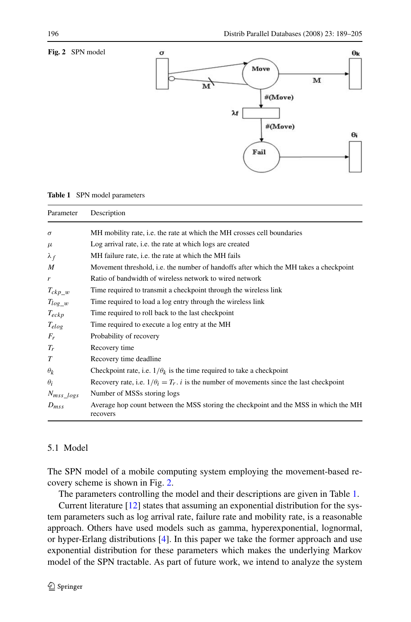M

Move

Fail

 $\lambda$ f

#(Move)

#(Move)

 $\theta$ k

 $\theta_i$ 



| <b>Table 1</b> SPN model parameters |
|-------------------------------------|
|                                     |

| Parameter       | Description                                                                                            |
|-----------------|--------------------------------------------------------------------------------------------------------|
| $\sigma$        | MH mobility rate, <i>i.e.</i> the rate at which the MH crosses cell boundaries                         |
| $\mu$           | Log arrival rate, <i>i.e.</i> the rate at which logs are created                                       |
| $\lambda_f$     | MH failure rate, i.e. the rate at which the MH fails                                                   |
| M               | Movement threshold, i.e. the number of handoffs after which the MH takes a checkpoint                  |
| r               | Ratio of bandwidth of wireless network to wired network                                                |
| $T_{ckp\_w}$    | Time required to transmit a checkpoint through the wireless link                                       |
| $T_{log}$ w     | Time required to load a log entry through the wireless link                                            |
| $T_{eckp}$      | Time required to roll back to the last checkpoint                                                      |
| $T_{elog}$      | Time required to execute a log entry at the MH                                                         |
| $F_r$           | Probability of recovery                                                                                |
| $T_r$           | Recovery time                                                                                          |
| T               | Recovery time deadline                                                                                 |
| $\theta_k$      | Checkpoint rate, i.e. $1/\theta_k$ is the time required to take a checkpoint                           |
| $\theta_i$      | Recovery rate, i.e. $1/\theta_i = T_r$ . <i>i</i> is the number of movements since the last checkpoint |
| $N_{mss\_logs}$ | Number of MSSs storing logs                                                                            |
| $D_{mss}$       | Average hop count between the MSS storing the checkpoint and the MSS in which the MH<br>recovers       |

ᆎ

## 5.1 Model

The SPN model of a mobile computing system employing the movement-based recovery scheme is shown in Fig. 2.

The parameters controlling the model and their descriptions are given in Table 1.

Current literature [\[12](#page-16-0)] states that assuming an exponential distribution for the system parameters such as log arrival rate, failure rate and mobility rate, is a reasonable approach. Others have used models such as gamma, hyperexponential, lognormal, or hyper-Erlang distributions [[4\]](#page-16-0). In this paper we take the former approach and use exponential distribution for these parameters which makes the underlying Markov model of the SPN tractable. As part of future work, we intend to analyze the system

<span id="page-7-0"></span>**Fig. 2** SPN model

 $\sigma$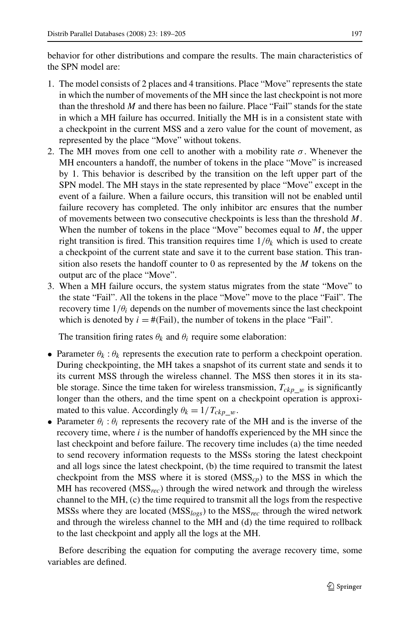behavior for other distributions and compare the results. The main characteristics of the SPN model are:

- 1. The model consists of 2 places and 4 transitions. Place "Move" represents the state in which the number of movements of the MH since the last checkpoint is not more than the threshold *M* and there has been no failure. Place "Fail" stands for the state in which a MH failure has occurred. Initially the MH is in a consistent state with a checkpoint in the current MSS and a zero value for the count of movement, as represented by the place "Move" without tokens.
- 2. The MH moves from one cell to another with a mobility rate  $\sigma$ . Whenever the MH encounters a handoff, the number of tokens in the place "Move" is increased by 1. This behavior is described by the transition on the left upper part of the SPN model. The MH stays in the state represented by place "Move" except in the event of a failure. When a failure occurs, this transition will not be enabled until failure recovery has completed. The only inhibitor arc ensures that the number of movements between two consecutive checkpoints is less than the threshold *M*. When the number of tokens in the place "Move" becomes equal to *M*, the upper right transition is fired. This transition requires time  $1/\theta_k$  which is used to create a checkpoint of the current state and save it to the current base station. This transition also resets the handoff counter to 0 as represented by the *M* tokens on the output arc of the place "Move".
- 3. When a MH failure occurs, the system status migrates from the state "Move" to the state "Fail". All the tokens in the place "Move" move to the place "Fail". The recovery time  $1/\theta_i$  depends on the number of movements since the last checkpoint which is denoted by  $i = #(Fail)$ , the number of tokens in the place "Fail".

The transition firing rates  $\theta_k$  and  $\theta_i$  require some elaboration:

- Parameter  $\theta_k : \theta_k$  represents the execution rate to perform a checkpoint operation. During checkpointing, the MH takes a snapshot of its current state and sends it to its current MSS through the wireless channel. The MSS then stores it in its stable storage. Since the time taken for wireless transmission,  $T_{ckp}$  *w* is significantly longer than the others, and the time spent on a checkpoint operation is approximated to this value. Accordingly  $\theta_k = 1/T_{ckp-w}$ .
- Parameter  $\theta_i$ :  $\theta_i$  represents the recovery rate of the MH and is the inverse of the recovery time, where *i* is the number of handoffs experienced by the MH since the last checkpoint and before failure. The recovery time includes (a) the time needed to send recovery information requests to the MSSs storing the latest checkpoint and all logs since the latest checkpoint, (b) the time required to transmit the latest checkpoint from the MSS where it is stored (MSS*cp*) to the MSS in which the MH has recovered (MSS*rec*) through the wired network and through the wireless channel to the MH, (c) the time required to transmit all the logs from the respective MSSs where they are located (MSS*logs*) to the MSS*rec* through the wired network and through the wireless channel to the MH and (d) the time required to rollback to the last checkpoint and apply all the logs at the MH.

Before describing the equation for computing the average recovery time, some variables are defined.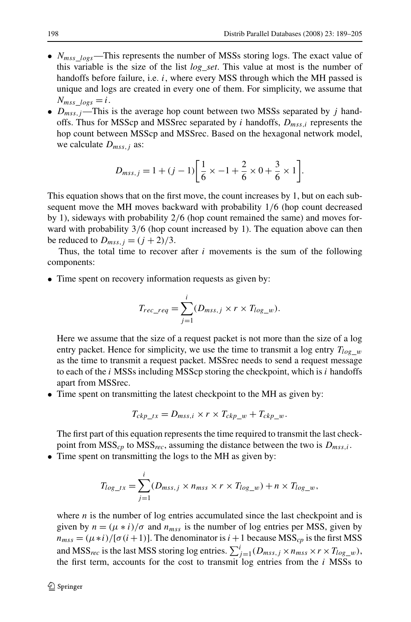- *N<sub>mss\_logs</sub>*—This represents the number of MSSs storing logs. The exact value of this variable is the size of the list *log\_set*. This value at most is the number of handoffs before failure, i.e. *i*, where every MSS through which the MH passed is unique and logs are created in every one of them. For simplicity, we assume that  $N_{mss}$ <sub>*logs*</sub> = *i*.
- *Dmss,j*—This is the average hop count between two MSSs separated by *j* handoffs. Thus for MSScp and MSSrec separated by *i* handoffs, *Dmss,i* represents the hop count between MSScp and MSSrec. Based on the hexagonal network model, we calculate *Dmss,j* as:

$$
D_{mss,j} = 1 + (j-1) \left[ \frac{1}{6} \times -1 + \frac{2}{6} \times 0 + \frac{3}{6} \times 1 \right].
$$

This equation shows that on the first move, the count increases by 1, but on each subsequent move the MH moves backward with probability 1*/*6 (hop count decreased by 1), sideways with probability 2*/*6 (hop count remained the same) and moves forward with probability 3*/*6 (hop count increased by 1). The equation above can then be reduced to  $D_{mss,j} = (j + 2)/3$ .

Thus, the total time to recover after *i* movements is the sum of the following components:

• Time spent on recovery information requests as given by:

$$
T_{rec\_req} = \sum_{j=1}^{i} (D_{mss,j} \times r \times T_{log\_w}).
$$

Here we assume that the size of a request packet is not more than the size of a log entry packet. Hence for simplicity, we use the time to transmit a log entry  $T_{log}$ <sub>*w*</sub> as the time to transmit a request packet. MSSrec needs to send a request message to each of the *i* MSSs including MSScp storing the checkpoint, which is *i* handoffs apart from MSSrec.

• Time spent on transmitting the latest checkpoint to the MH as given by:

$$
T_{ckp\_tx} = D_{mss,i} \times r \times T_{ckp\_w} + T_{ckp\_w}.
$$

The first part of this equation represents the time required to transmit the last checkpoint from MSS*cp* to MSS*rec*, assuming the distance between the two is *Dmss,i*.

• Time spent on transmitting the logs to the MH as given by:

$$
T_{log\_tx} = \sum_{j=1}^{i} (D_{mss,j} \times n_{mss} \times r \times T_{log\_w}) + n \times T_{log\_w},
$$

where  $n$  is the number of log entries accumulated since the last checkpoint and is given by  $n = (\mu * i)/\sigma$  and  $n_{\text{mss}}$  is the number of log entries per MSS, given by  $n_{mss} = (\mu * i)/[\sigma(i+1)]$ . The denominator is  $i+1$  because MSS<sub>*cp*</sub> is the first MSS and MSS<sub>rec</sub> is the last MSS storing log entries.  $\sum_{j=1}^{i} (D_{mss,j} \times n_{mss} \times r \times T_{log\_w})$ , the first term, accounts for the cost to transmit log entries from the *i* MSSs to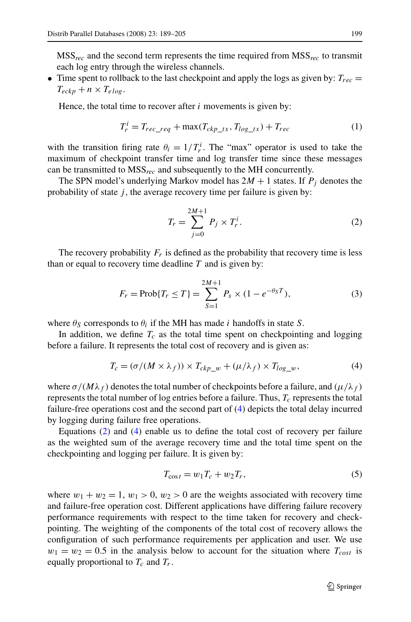<span id="page-10-0"></span>MSS*rec* and the second term represents the time required from MSS*rec* to transmit each log entry through the wireless channels.

• Time spent to rollback to the last checkpoint and apply the logs as given by:  $T_{rec}$  =  $T_{eckp} + n \times T_{e\log}$ 

Hence, the total time to recover after *i* movements is given by:

$$
T_r^i = T_{rec\_req} + \max(T_{ckp\_tx}, T_{log\_tx}) + T_{rec}
$$
 (1)

with the transition firing rate  $\theta_i = 1/T_r^i$ . The "max" operator is used to take the maximum of checkpoint transfer time and log transfer time since these messages can be transmitted to MSS*rec* and subsequently to the MH concurrently.

The SPN model's underlying Markov model has  $2M + 1$  states. If  $P_i$  denotes the probability of state *j*, the average recovery time per failure is given by:

$$
T_r = \sum_{j=0}^{2M+1} P_j \times T_r^i.
$$
 (2)

The recovery probability  $F_r$  is defined as the probability that recovery time is less than or equal to recovery time deadline *T* and is given by:

$$
F_r = \text{Prob}\{T_r \le T\} = \sum_{S=1}^{2M+1} P_s \times (1 - e^{-\theta_S T}),\tag{3}
$$

where  $\theta_S$  corresponds to  $\theta_i$  if the MH has made *i* handoffs in state *S*.

In addition, we define  $T_c$  as the total time spent on checkpointing and logging before a failure. It represents the total cost of recovery and is given as:

$$
T_c = (\sigma/(M \times \lambda_f)) \times T_{ckp\_w} + (\mu/\lambda_f) \times T_{log\_w},
$$
\n(4)

where  $\sigma/(M\lambda_f)$  denotes the total number of checkpoints before a failure, and  $(\mu/\lambda_f)$ represents the total number of log entries before a failure. Thus, *Tc* represents the total failure-free operations cost and the second part of (4) depicts the total delay incurred by logging during failure free operations.

Equations (2) and (4) enable us to define the total cost of recovery per failure as the weighted sum of the average recovery time and the total time spent on the checkpointing and logging per failure. It is given by:

$$
T_{\cos t} = w_1 T_c + w_2 T_r,\tag{5}
$$

where  $w_1 + w_2 = 1$ ,  $w_1 > 0$ ,  $w_2 > 0$  are the weights associated with recovery time and failure-free operation cost. Different applications have differing failure recovery performance requirements with respect to the time taken for recovery and checkpointing. The weighting of the components of the total cost of recovery allows the configuration of such performance requirements per application and user. We use  $w_1 = w_2 = 0.5$  in the analysis below to account for the situation where  $T_{cost}$  is equally proportional to  $T_c$  and  $T_r$ .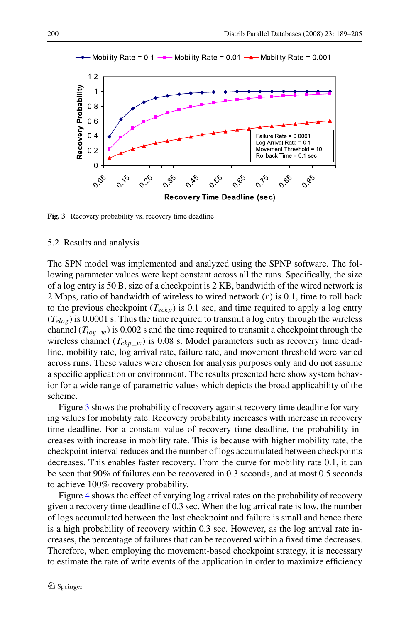

**Fig. 3** Recovery probability vs. recovery time deadline

#### 5.2 Results and analysis

The SPN model was implemented and analyzed using the SPNP software. The following parameter values were kept constant across all the runs. Specifically, the size of a log entry is 50 B, size of a checkpoint is 2 KB, bandwidth of the wired network is 2 Mbps, ratio of bandwidth of wireless to wired network (*r*) is 0.1, time to roll back to the previous checkpoint  $(T_{eckp})$  is 0.1 sec, and time required to apply a log entry  $(T_{elog})$  is 0.0001 s. Thus the time required to transmit a log entry through the wireless channel  $(T_{\text{log}}\,w)$  is 0.002 s and the time required to transmit a checkpoint through the wireless channel  $(T_{ckp-w})$  is 0.08 s. Model parameters such as recovery time deadline, mobility rate, log arrival rate, failure rate, and movement threshold were varied across runs. These values were chosen for analysis purposes only and do not assume a specific application or environment. The results presented here show system behavior for a wide range of parametric values which depicts the broad applicability of the scheme.

Figure 3 shows the probability of recovery against recovery time deadline for varying values for mobility rate. Recovery probability increases with increase in recovery time deadline. For a constant value of recovery time deadline, the probability increases with increase in mobility rate. This is because with higher mobility rate, the checkpoint interval reduces and the number of logs accumulated between checkpoints decreases. This enables faster recovery. From the curve for mobility rate 0.1, it can be seen that 90% of failures can be recovered in 0.3 seconds, and at most 0.5 seconds to achieve 100% recovery probability.

Figure [4](#page-12-0) shows the effect of varying log arrival rates on the probability of recovery given a recovery time deadline of 0.3 sec. When the log arrival rate is low, the number of logs accumulated between the last checkpoint and failure is small and hence there is a high probability of recovery within 0.3 sec. However, as the log arrival rate increases, the percentage of failures that can be recovered within a fixed time decreases. Therefore, when employing the movement-based checkpoint strategy, it is necessary to estimate the rate of write events of the application in order to maximize efficiency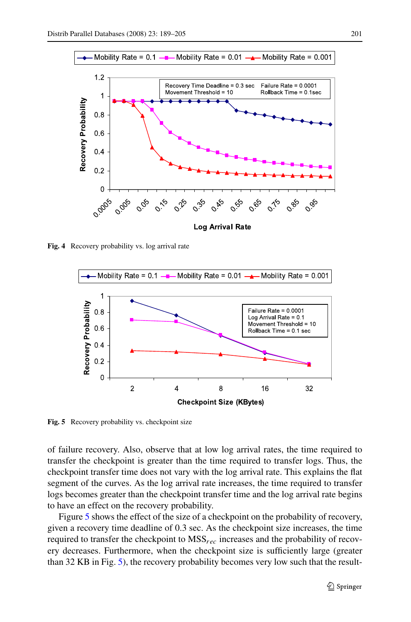<span id="page-12-0"></span>

**Fig. 4** Recovery probability vs. log arrival rate



Fig. 5 Recovery probability vs. checkpoint size

of failure recovery. Also, observe that at low log arrival rates, the time required to transfer the checkpoint is greater than the time required to transfer logs. Thus, the checkpoint transfer time does not vary with the log arrival rate. This explains the flat segment of the curves. As the log arrival rate increases, the time required to transfer logs becomes greater than the checkpoint transfer time and the log arrival rate begins to have an effect on the recovery probability.

Figure 5 shows the effect of the size of a checkpoint on the probability of recovery, given a recovery time deadline of 0.3 sec. As the checkpoint size increases, the time required to transfer the checkpoint to MSS*rec* increases and the probability of recovery decreases. Furthermore, when the checkpoint size is sufficiently large (greater than 32 KB in Fig. 5), the recovery probability becomes very low such that the result-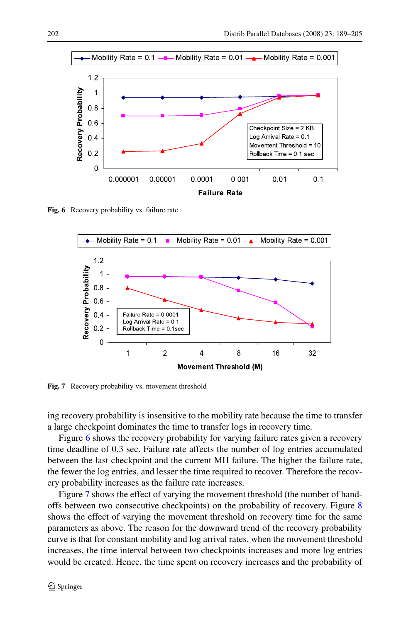

**Fig. 6** Recovery probability vs. failure rate



**Fig. 7** Recovery probability vs. movement threshold

ing recovery probability is insensitive to the mobility rate because the time to transfer a large checkpoint dominates the time to transfer logs in recovery time.

Figure 6 shows the recovery probability for varying failure rates given a recovery time deadline of 0.3 sec. Failure rate affects the number of log entries accumulated between the last checkpoint and the current MH failure. The higher the failure rate, the fewer the log entries, and lesser the time required to recover. Therefore the recovery probability increases as the failure rate increases.

Figure 7 shows the effect of varying the movement threshold (the number of handoffs between two consecutive checkpoints) on the probability of recovery. Figure [8](#page-14-0) shows the effect of varying the movement threshold on recovery time for the same parameters as above. The reason for the downward trend of the recovery probability curve is that for constant mobility and log arrival rates, when the movement threshold increases, the time interval between two checkpoints increases and more log entries would be created. Hence, the time spent on recovery increases and the probability of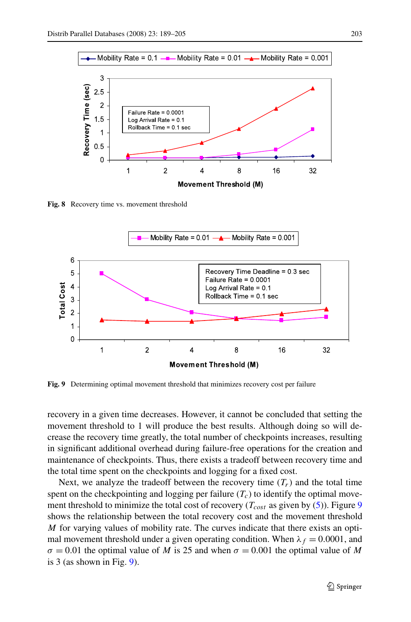<span id="page-14-0"></span>

**Fig. 8** Recovery time vs. movement threshold



**Fig. 9** Determining optimal movement threshold that minimizes recovery cost per failure

recovery in a given time decreases. However, it cannot be concluded that setting the movement threshold to 1 will produce the best results. Although doing so will decrease the recovery time greatly, the total number of checkpoints increases, resulting in significant additional overhead during failure-free operations for the creation and maintenance of checkpoints. Thus, there exists a tradeoff between recovery time and the total time spent on the checkpoints and logging for a fixed cost.

Next, we analyze the tradeoff between the recovery time  $(T_r)$  and the total time spent on the checkpointing and logging per failure  $(T_c)$  to identify the optimal movement threshold to minimize the total cost of recovery  $(T_{cost}$  as given by ([5\)](#page-10-0)). Figure 9 shows the relationship between the total recovery cost and the movement threshold *M* for varying values of mobility rate. The curves indicate that there exists an optimal movement threshold under a given operating condition. When  $\lambda_f = 0.0001$ , and  $\sigma = 0.01$  the optimal value of *M* is 25 and when  $\sigma = 0.001$  the optimal value of *M* is 3 (as shown in Fig. 9).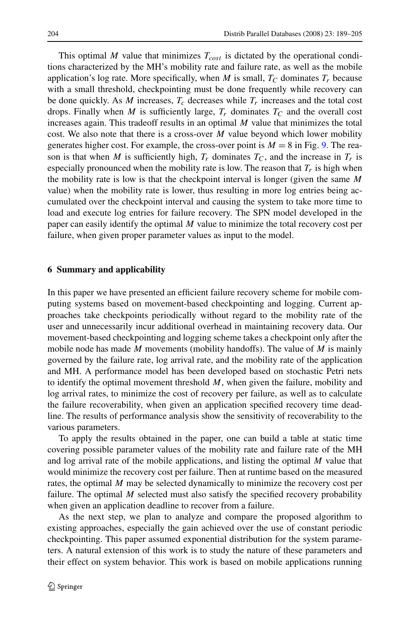<span id="page-15-0"></span>This optimal *M* value that minimizes  $T_{cost}$  is dictated by the operational conditions characterized by the MH's mobility rate and failure rate, as well as the mobile application's log rate. More specifically, when *M* is small,  $T_C$  dominates  $T_r$  because with a small threshold, checkpointing must be done frequently while recovery can be done quickly. As *M* increases,  $T_c$  decreases while  $T_r$  increases and the total cost drops. Finally when *M* is sufficiently large,  $T_r$  dominates  $T_c$  and the overall cost increases again. This tradeoff results in an optimal *M* value that minimizes the total cost. We also note that there is a cross-over  $M$  value beyond which lower mobility generates higher cost. For example, the cross-over point is  $M = 8$  in Fig. [9.](#page-14-0) The reason is that when *M* is sufficiently high,  $T_r$  dominates  $T_c$ , and the increase in  $T_r$  is especially pronounced when the mobility rate is low. The reason that  $T_r$  is high when the mobility rate is low is that the checkpoint interval is longer (given the same *M* value) when the mobility rate is lower, thus resulting in more log entries being accumulated over the checkpoint interval and causing the system to take more time to load and execute log entries for failure recovery. The SPN model developed in the paper can easily identify the optimal *M* value to minimize the total recovery cost per failure, when given proper parameter values as input to the model.

#### **6 Summary and applicability**

In this paper we have presented an efficient failure recovery scheme for mobile computing systems based on movement-based checkpointing and logging. Current approaches take checkpoints periodically without regard to the mobility rate of the user and unnecessarily incur additional overhead in maintaining recovery data. Our movement-based checkpointing and logging scheme takes a checkpoint only after the mobile node has made *M* movements (mobility handoffs). The value of *M* is mainly governed by the failure rate, log arrival rate, and the mobility rate of the application and MH. A performance model has been developed based on stochastic Petri nets to identify the optimal movement threshold *M*, when given the failure, mobility and log arrival rates, to minimize the cost of recovery per failure, as well as to calculate the failure recoverability, when given an application specified recovery time deadline. The results of performance analysis show the sensitivity of recoverability to the various parameters.

To apply the results obtained in the paper, one can build a table at static time covering possible parameter values of the mobility rate and failure rate of the MH and log arrival rate of the mobile applications, and listing the optimal *M* value that would minimize the recovery cost per failure. Then at runtime based on the measured rates, the optimal *M* may be selected dynamically to minimize the recovery cost per failure. The optimal *M* selected must also satisfy the specified recovery probability when given an application deadline to recover from a failure.

As the next step, we plan to analyze and compare the proposed algorithm to existing approaches, especially the gain achieved over the use of constant periodic checkpointing. This paper assumed exponential distribution for the system parameters. A natural extension of this work is to study the nature of these parameters and their effect on system behavior. This work is based on mobile applications running